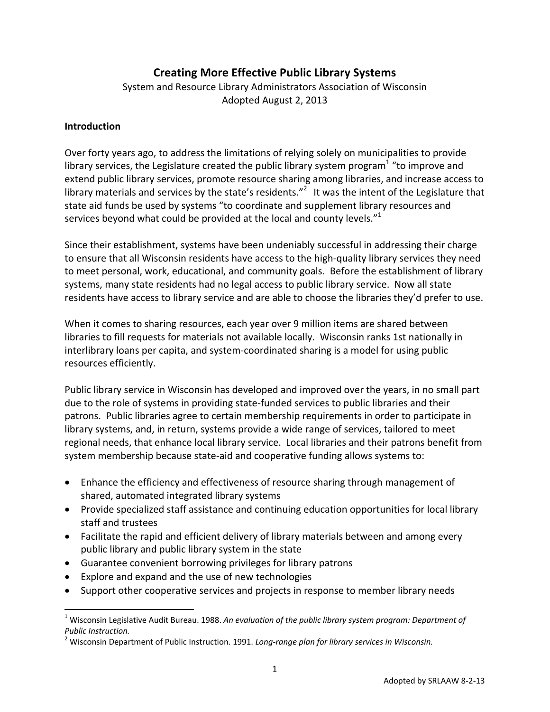### **Creating More Effective Public Library Systems**

System and Resource Library Administrators Association of Wisconsin Adopted August 2, 2013

#### **Introduction**

Over forty years ago, to address the limitations of relying solely on municipalities to provide library services, the Legislature created the public library system program<sup>1</sup> "to improve and extend public library services, promote resource sharing among libraries, and increase access to library materials and services by the state's residents."<sup>2</sup> It was the intent of the Legislature that state aid funds be used by systems "to coordinate and supplement library resources and services beyond what could be provided at the local and county levels."<sup>1</sup>

Since their establishment, systems have been undeniably successful in addressing their charge to ensure that all Wisconsin residents have access to the high-quality library services they need to meet personal, work, educational, and community goals. Before the establishment of library systems, many state residents had no legal access to public library service. Now all state residents have access to library service and are able to choose the libraries they'd prefer to use.

When it comes to sharing resources, each year over 9 million items are shared between libraries to fill requests for materials not available locally. Wisconsin ranks 1st nationally in interlibrary loans per capita, and system‐coordinated sharing is a model for using public resources efficiently.

Public library service in Wisconsin has developed and improved over the years, in no small part due to the role of systems in providing state‐funded services to public libraries and their patrons. Public libraries agree to certain membership requirements in order to participate in library systems, and, in return, systems provide a wide range of services, tailored to meet regional needs, that enhance local library service. Local libraries and their patrons benefit from system membership because state‐aid and cooperative funding allows systems to:

- Enhance the efficiency and effectiveness of resource sharing through management of shared, automated integrated library systems
- Provide specialized staff assistance and continuing education opportunities for local library staff and trustees
- Facilitate the rapid and efficient delivery of library materials between and among every public library and public library system in the state
- Guarantee convenient borrowing privileges for library patrons
- Explore and expand and the use of new technologies

Support other cooperative services and projects in response to member library needs

<sup>1</sup> Wisconsin Legislative Audit Bureau. 1988. *An evaluation of the public library system program: Department of Public Instruction.* <sup>2</sup> Wisconsin Department of Public Instruction. 1991. *Long‐range plan for library services in Wisconsin.*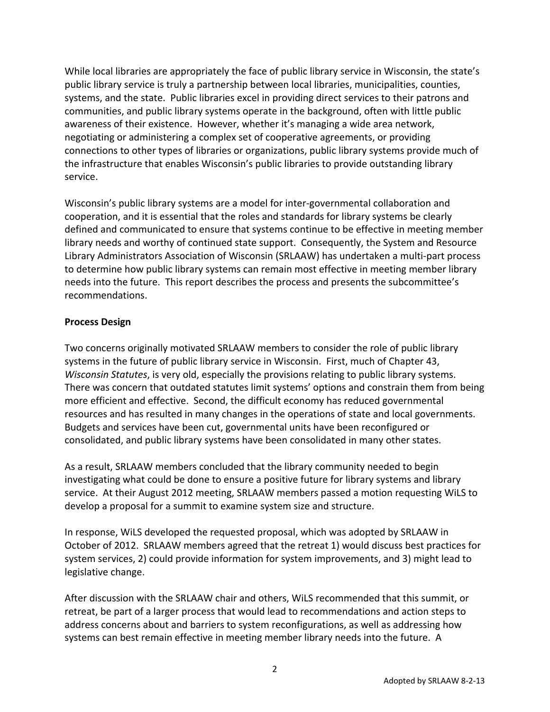While local libraries are appropriately the face of public library service in Wisconsin, the state's public library service is truly a partnership between local libraries, municipalities, counties, systems, and the state. Public libraries excel in providing direct services to their patrons and communities, and public library systems operate in the background, often with little public awareness of their existence. However, whether it's managing a wide area network, negotiating or administering a complex set of cooperative agreements, or providing connections to other types of libraries or organizations, public library systems provide much of the infrastructure that enables Wisconsin's public libraries to provide outstanding library service.

Wisconsin's public library systems are a model for inter‐governmental collaboration and cooperation, and it is essential that the roles and standards for library systems be clearly defined and communicated to ensure that systems continue to be effective in meeting member library needs and worthy of continued state support. Consequently, the System and Resource Library Administrators Association of Wisconsin (SRLAAW) has undertaken a multi‐part process to determine how public library systems can remain most effective in meeting member library needs into the future. This report describes the process and presents the subcommittee's recommendations.

#### **Process Design**

Two concerns originally motivated SRLAAW members to consider the role of public library systems in the future of public library service in Wisconsin. First, much of Chapter 43, *Wisconsin Statutes*, is very old, especially the provisions relating to public library systems. There was concern that outdated statutes limit systems' options and constrain them from being more efficient and effective. Second, the difficult economy has reduced governmental resources and has resulted in many changes in the operations of state and local governments. Budgets and services have been cut, governmental units have been reconfigured or consolidated, and public library systems have been consolidated in many other states.

As a result, SRLAAW members concluded that the library community needed to begin investigating what could be done to ensure a positive future for library systems and library service. At their August 2012 meeting, SRLAAW members passed a motion requesting WiLS to develop a proposal for a summit to examine system size and structure.

In response, WiLS developed the requested proposal, which was adopted by SRLAAW in October of 2012. SRLAAW members agreed that the retreat 1) would discuss best practices for system services, 2) could provide information for system improvements, and 3) might lead to legislative change.

After discussion with the SRLAAW chair and others, WiLS recommended that this summit, or retreat, be part of a larger process that would lead to recommendations and action steps to address concerns about and barriers to system reconfigurations, as well as addressing how systems can best remain effective in meeting member library needs into the future. A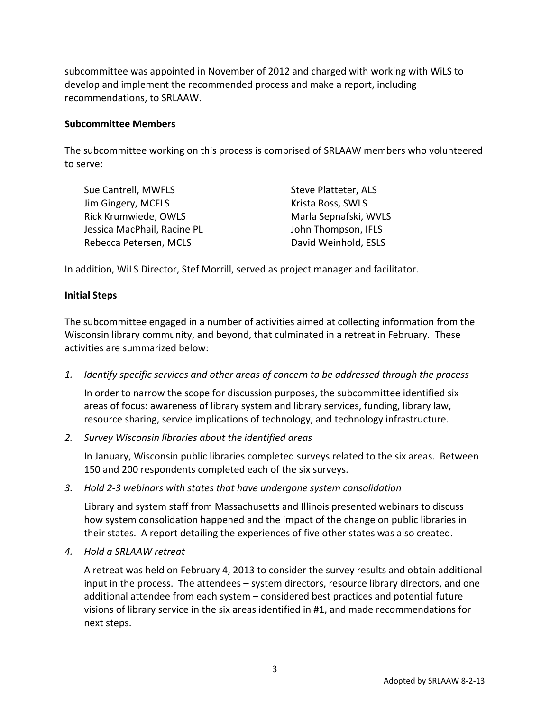subcommittee was appointed in November of 2012 and charged with working with WiLS to develop and implement the recommended process and make a report, including recommendations, to SRLAAW.

#### **Subcommittee Members**

The subcommittee working on this process is comprised of SRLAAW members who volunteered to serve:

| Sue Cantrell, MWFLS         | Steve Platteter, ALS  |
|-----------------------------|-----------------------|
| Jim Gingery, MCFLS          | Krista Ross, SWLS     |
| Rick Krumwiede, OWLS        | Marla Sepnafski, WVLS |
| Jessica MacPhail, Racine PL | John Thompson, IFLS   |
| Rebecca Petersen, MCLS      | David Weinhold, ESLS  |

In addition, WiLS Director, Stef Morrill, served as project manager and facilitator.

#### **Initial Steps**

The subcommittee engaged in a number of activities aimed at collecting information from the Wisconsin library community, and beyond, that culminated in a retreat in February. These activities are summarized below:

*1. Identify specific services and other areas of concern to be addressed through the process*

In order to narrow the scope for discussion purposes, the subcommittee identified six areas of focus: awareness of library system and library services, funding, library law, resource sharing, service implications of technology, and technology infrastructure.

*2. Survey Wisconsin libraries about the identified areas*

In January, Wisconsin public libraries completed surveys related to the six areas. Between 150 and 200 respondents completed each of the six surveys.

*3. Hold 2‐3 webinars with states that have undergone system consolidation*

Library and system staff from Massachusetts and Illinois presented webinars to discuss how system consolidation happened and the impact of the change on public libraries in their states. A report detailing the experiences of five other states was also created.

*4. Hold a SRLAAW retreat*

A retreat was held on February 4, 2013 to consider the survey results and obtain additional input in the process. The attendees – system directors, resource library directors, and one additional attendee from each system – considered best practices and potential future visions of library service in the six areas identified in #1, and made recommendations for next steps.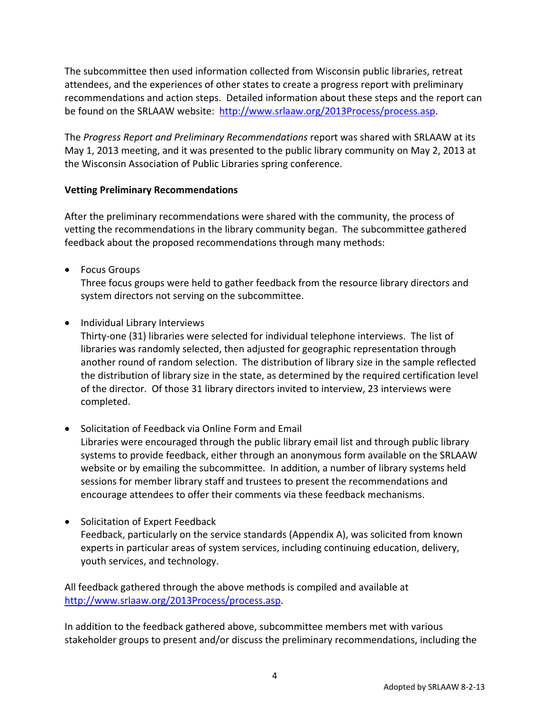The subcommittee then used information collected from Wisconsin public libraries, retreat attendees, and the experiences of other states to create a progress report with preliminary recommendations and action steps. Detailed information about these steps and the report can be found on the SRLAAW website: http://www.srlaaw.org/2013Process/process.asp.

The *Progress Report and Preliminary Recommendations* report was shared with SRLAAW at its May 1, 2013 meeting, and it was presented to the public library community on May 2, 2013 at the Wisconsin Association of Public Libraries spring conference.

#### **Vetting Preliminary Recommendations**

After the preliminary recommendations were shared with the community, the process of vetting the recommendations in the library community began. The subcommittee gathered feedback about the proposed recommendations through many methods:

• Focus Groups

Three focus groups were held to gather feedback from the resource library directors and system directors not serving on the subcommittee.

• Individual Library Interviews

Thirty-one (31) libraries were selected for individual telephone interviews. The list of libraries was randomly selected, then adjusted for geographic representation through another round of random selection. The distribution of library size in the sample reflected the distribution of library size in the state, as determined by the required certification level of the director. Of those 31 library directors invited to interview, 23 interviews were completed.

- Solicitation of Feedback via Online Form and Email Libraries were encouraged through the public library email list and through public library systems to provide feedback, either through an anonymous form available on the SRLAAW website or by emailing the subcommittee. In addition, a number of library systems held sessions for member library staff and trustees to present the recommendations and encourage attendees to offer their comments via these feedback mechanisms.
- Solicitation of Expert Feedback Feedback, particularly on the service standards (Appendix A), was solicited from known experts in particular areas of system services, including continuing education, delivery, youth services, and technology.

All feedback gathered through the above methods is compiled and available at http://www.srlaaw.org/2013Process/process.asp.

In addition to the feedback gathered above, subcommittee members met with various stakeholder groups to present and/or discuss the preliminary recommendations, including the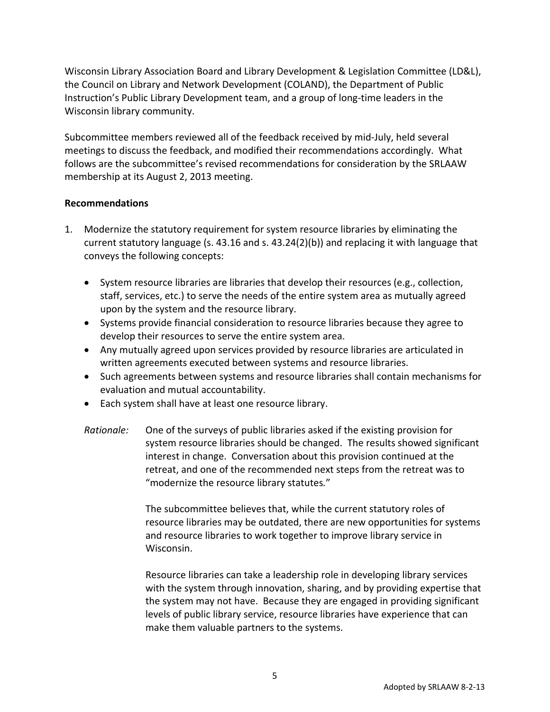Wisconsin Library Association Board and Library Development & Legislation Committee (LD&L), the Council on Library and Network Development (COLAND), the Department of Public Instruction's Public Library Development team, and a group of long‐time leaders in the Wisconsin library community.

Subcommittee members reviewed all of the feedback received by mid‐July, held several meetings to discuss the feedback, and modified their recommendations accordingly. What follows are the subcommittee's revised recommendations for consideration by the SRLAAW membership at its August 2, 2013 meeting.

#### **Recommendations**

- 1. Modernize the statutory requirement for system resource libraries by eliminating the current statutory language (s. 43.16 and s. 43.24(2)(b)) and replacing it with language that conveys the following concepts:
	- System resource libraries are libraries that develop their resources (e.g., collection, staff, services, etc.) to serve the needs of the entire system area as mutually agreed upon by the system and the resource library.
	- Systems provide financial consideration to resource libraries because they agree to develop their resources to serve the entire system area.
	- Any mutually agreed upon services provided by resource libraries are articulated in written agreements executed between systems and resource libraries.
	- Such agreements between systems and resource libraries shall contain mechanisms for evaluation and mutual accountability.
	- Each system shall have at least one resource library.
	- *Rationale:* One of the surveys of public libraries asked if the existing provision for system resource libraries should be changed. The results showed significant interest in change. Conversation about this provision continued at the retreat, and one of the recommended next steps from the retreat was to "modernize the resource library statutes*.*"

The subcommittee believes that, while the current statutory roles of resource libraries may be outdated, there are new opportunities for systems and resource libraries to work together to improve library service in Wisconsin.

Resource libraries can take a leadership role in developing library services with the system through innovation, sharing, and by providing expertise that the system may not have. Because they are engaged in providing significant levels of public library service, resource libraries have experience that can make them valuable partners to the systems.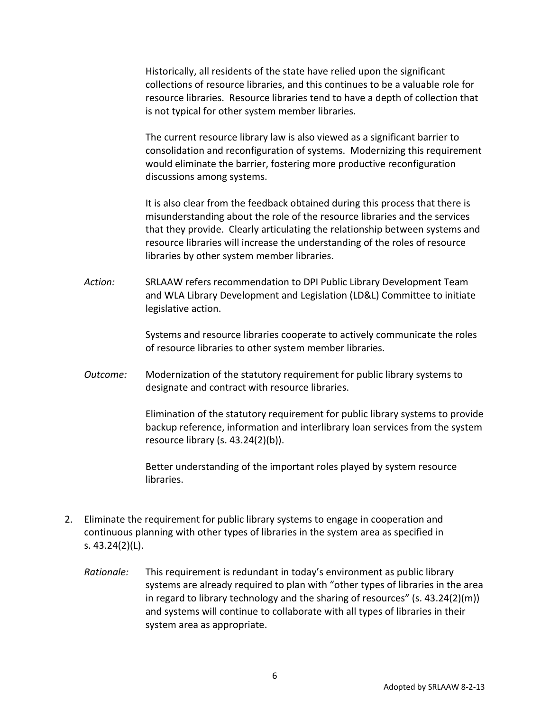Historically, all residents of the state have relied upon the significant collections of resource libraries, and this continues to be a valuable role for resource libraries. Resource libraries tend to have a depth of collection that is not typical for other system member libraries.

The current resource library law is also viewed as a significant barrier to consolidation and reconfiguration of systems. Modernizing this requirement would eliminate the barrier, fostering more productive reconfiguration discussions among systems.

It is also clear from the feedback obtained during this process that there is misunderstanding about the role of the resource libraries and the services that they provide. Clearly articulating the relationship between systems and resource libraries will increase the understanding of the roles of resource libraries by other system member libraries.

*Action:* SRLAAW refers recommendation to DPI Public Library Development Team and WLA Library Development and Legislation (LD&L) Committee to initiate legislative action.

> Systems and resource libraries cooperate to actively communicate the roles of resource libraries to other system member libraries.

*Outcome:* Modernization of the statutory requirement for public library systems to designate and contract with resource libraries.

> Elimination of the statutory requirement for public library systems to provide backup reference, information and interlibrary loan services from the system resource library (s. 43.24(2)(b)).

Better understanding of the important roles played by system resource libraries.

- 2. Eliminate the requirement for public library systems to engage in cooperation and continuous planning with other types of libraries in the system area as specified in s. 43.24(2)(L).
	- *Rationale:* This requirement is redundant in today's environment as public library systems are already required to plan with "other types of libraries in the area in regard to library technology and the sharing of resources" (s. 43.24(2)(m)) and systems will continue to collaborate with all types of libraries in their system area as appropriate.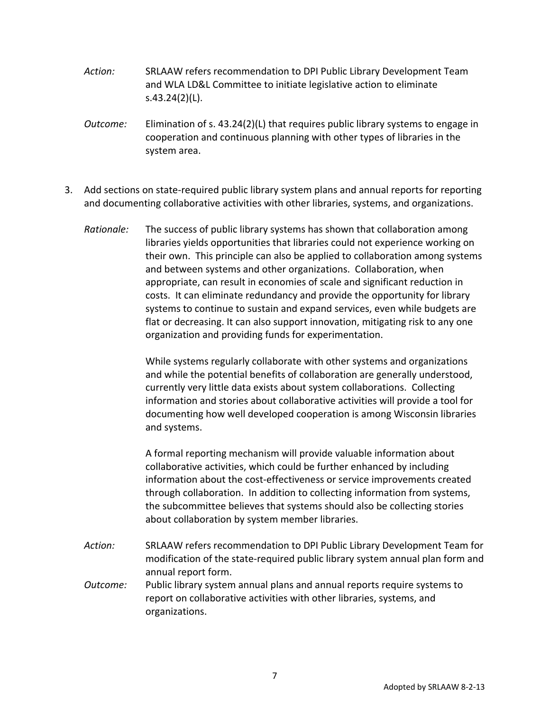- *Action:* SRLAAW refers recommendation to DPI Public Library Development Team and WLA LD&L Committee to initiate legislative action to eliminate s.43.24(2)(L).
- *Outcome:* Elimination of s. 43.24(2)(L) that requires public library systems to engage in cooperation and continuous planning with other types of libraries in the system area.
- 3. Add sections on state‐required public library system plans and annual reports for reporting and documenting collaborative activities with other libraries, systems, and organizations.
	- *Rationale:* The success of public library systems has shown that collaboration among libraries yields opportunities that libraries could not experience working on their own. This principle can also be applied to collaboration among systems and between systems and other organizations. Collaboration, when appropriate, can result in economies of scale and significant reduction in costs. It can eliminate redundancy and provide the opportunity for library systems to continue to sustain and expand services, even while budgets are flat or decreasing. It can also support innovation, mitigating risk to any one organization and providing funds for experimentation.

While systems regularly collaborate with other systems and organizations and while the potential benefits of collaboration are generally understood, currently very little data exists about system collaborations. Collecting information and stories about collaborative activities will provide a tool for documenting how well developed cooperation is among Wisconsin libraries and systems.

A formal reporting mechanism will provide valuable information about collaborative activities, which could be further enhanced by including information about the cost-effectiveness or service improvements created through collaboration. In addition to collecting information from systems, the subcommittee believes that systems should also be collecting stories about collaboration by system member libraries.

- *Action:* SRLAAW refers recommendation to DPI Public Library Development Team for modification of the state‐required public library system annual plan form and annual report form.
- *Outcome:* Public library system annual plans and annual reports require systems to report on collaborative activities with other libraries, systems, and organizations.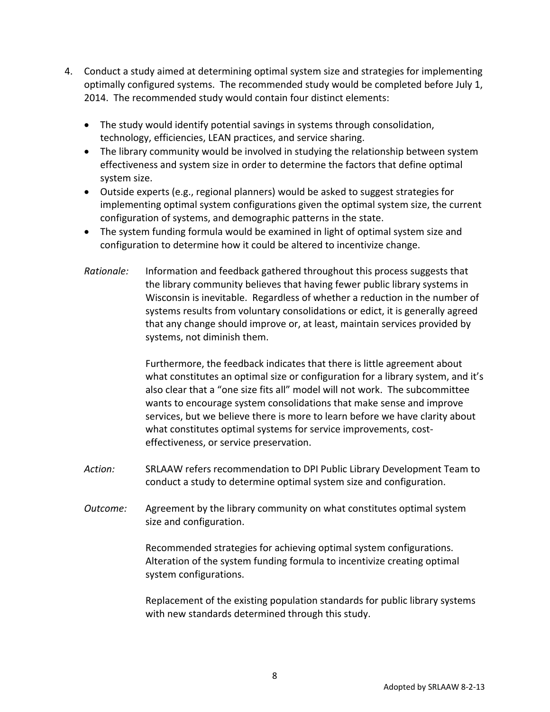- 4. Conduct a study aimed at determining optimal system size and strategies for implementing optimally configured systems. The recommended study would be completed before July 1, 2014. The recommended study would contain four distinct elements:
	- The study would identify potential savings in systems through consolidation, technology, efficiencies, LEAN practices, and service sharing.
	- The library community would be involved in studying the relationship between system effectiveness and system size in order to determine the factors that define optimal system size.
	- Outside experts (e.g., regional planners) would be asked to suggest strategies for implementing optimal system configurations given the optimal system size, the current configuration of systems, and demographic patterns in the state.
	- The system funding formula would be examined in light of optimal system size and configuration to determine how it could be altered to incentivize change.
	- *Rationale:* Information and feedback gathered throughout this process suggests that the library community believes that having fewer public library systems in Wisconsin is inevitable. Regardless of whether a reduction in the number of systems results from voluntary consolidations or edict, it is generally agreed that any change should improve or, at least, maintain services provided by systems, not diminish them.

Furthermore, the feedback indicates that there is little agreement about what constitutes an optimal size or configuration for a library system, and it's also clear that a "one size fits all" model will not work. The subcommittee wants to encourage system consolidations that make sense and improve services, but we believe there is more to learn before we have clarity about what constitutes optimal systems for service improvements, costeffectiveness, or service preservation.

- *Action:* SRLAAW refers recommendation to DPI Public Library Development Team to conduct a study to determine optimal system size and configuration.
- *Outcome:* Agreement by the library community on what constitutes optimal system size and configuration.

Recommended strategies for achieving optimal system configurations. Alteration of the system funding formula to incentivize creating optimal system configurations.

Replacement of the existing population standards for public library systems with new standards determined through this study.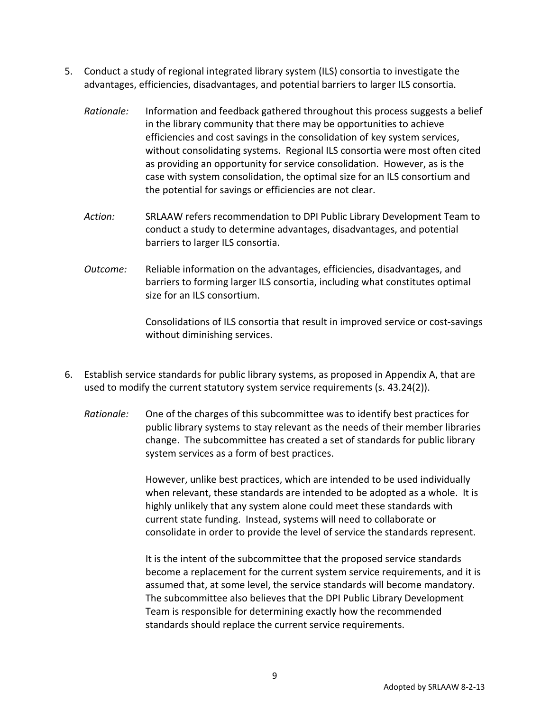- 5. Conduct a study of regional integrated library system (ILS) consortia to investigate the advantages, efficiencies, disadvantages, and potential barriers to larger ILS consortia.
	- *Rationale:* Information and feedback gathered throughout this process suggests a belief in the library community that there may be opportunities to achieve efficiencies and cost savings in the consolidation of key system services, without consolidating systems. Regional ILS consortia were most often cited as providing an opportunity for service consolidation. However, as is the case with system consolidation, the optimal size for an ILS consortium and the potential for savings or efficiencies are not clear.
	- *Action:* SRLAAW refers recommendation to DPI Public Library Development Team to conduct a study to determine advantages, disadvantages, and potential barriers to larger ILS consortia.
	- *Outcome:* Reliable information on the advantages, efficiencies, disadvantages, and barriers to forming larger ILS consortia, including what constitutes optimal size for an ILS consortium.

Consolidations of ILS consortia that result in improved service or cost‐savings without diminishing services.

- 6. Establish service standards for public library systems, as proposed in Appendix A, that are used to modify the current statutory system service requirements (s. 43.24(2)).
	- *Rationale:* One of the charges of this subcommittee was to identify best practices for public library systems to stay relevant as the needs of their member libraries change. The subcommittee has created a set of standards for public library system services as a form of best practices.

However, unlike best practices, which are intended to be used individually when relevant, these standards are intended to be adopted as a whole. It is highly unlikely that any system alone could meet these standards with current state funding. Instead, systems will need to collaborate or consolidate in order to provide the level of service the standards represent.

It is the intent of the subcommittee that the proposed service standards become a replacement for the current system service requirements, and it is assumed that, at some level, the service standards will become mandatory. The subcommittee also believes that the DPI Public Library Development Team is responsible for determining exactly how the recommended standards should replace the current service requirements.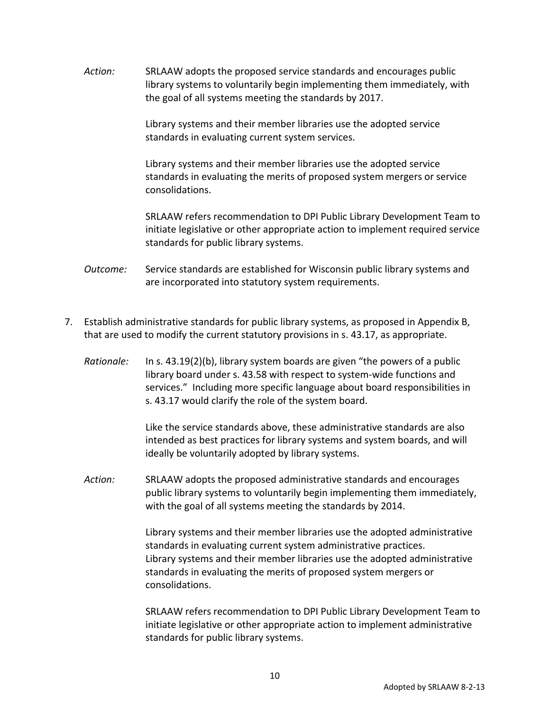*Action:* SRLAAW adopts the proposed service standards and encourages public library systems to voluntarily begin implementing them immediately, with the goal of all systems meeting the standards by 2017.

> Library systems and their member libraries use the adopted service standards in evaluating current system services.

Library systems and their member libraries use the adopted service standards in evaluating the merits of proposed system mergers or service consolidations.

SRLAAW refers recommendation to DPI Public Library Development Team to initiate legislative or other appropriate action to implement required service standards for public library systems.

- *Outcome:* Service standards are established for Wisconsin public library systems and are incorporated into statutory system requirements.
- 7. Establish administrative standards for public library systems, as proposed in Appendix B, that are used to modify the current statutory provisions in s. 43.17, as appropriate.
	- *Rationale:* In s. 43.19(2)(b), library system boards are given "the powers of a public library board under s. 43.58 with respect to system‐wide functions and services." Including more specific language about board responsibilities in s. 43.17 would clarify the role of the system board.

Like the service standards above, these administrative standards are also intended as best practices for library systems and system boards, and will ideally be voluntarily adopted by library systems.

*Action:* SRLAAW adopts the proposed administrative standards and encourages public library systems to voluntarily begin implementing them immediately, with the goal of all systems meeting the standards by 2014.

> Library systems and their member libraries use the adopted administrative standards in evaluating current system administrative practices. Library systems and their member libraries use the adopted administrative standards in evaluating the merits of proposed system mergers or consolidations.

SRLAAW refers recommendation to DPI Public Library Development Team to initiate legislative or other appropriate action to implement administrative standards for public library systems.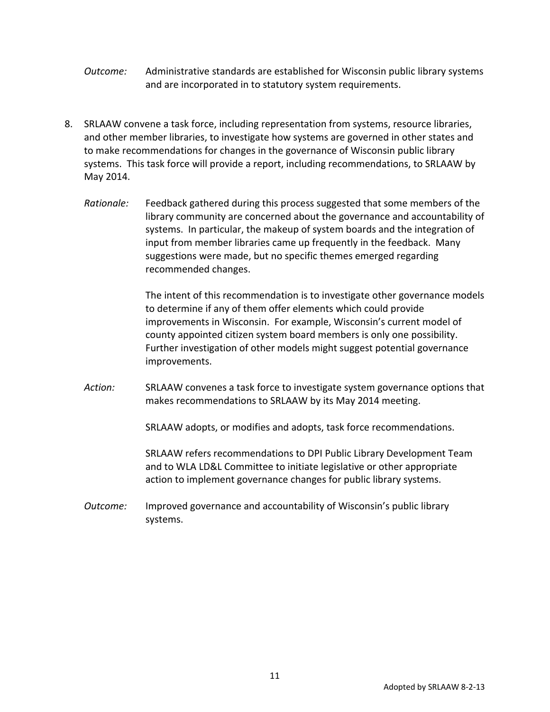- *Outcome:* Administrative standards are established for Wisconsin public library systems and are incorporated in to statutory system requirements.
- 8. SRLAAW convene a task force, including representation from systems, resource libraries, and other member libraries, to investigate how systems are governed in other states and to make recommendations for changes in the governance of Wisconsin public library systems. This task force will provide a report, including recommendations, to SRLAAW by May 2014.
	- *Rationale:* Feedback gathered during this process suggested that some members of the library community are concerned about the governance and accountability of systems. In particular, the makeup of system boards and the integration of input from member libraries came up frequently in the feedback. Many suggestions were made, but no specific themes emerged regarding recommended changes.

The intent of this recommendation is to investigate other governance models to determine if any of them offer elements which could provide improvements in Wisconsin. For example, Wisconsin's current model of county appointed citizen system board members is only one possibility. Further investigation of other models might suggest potential governance improvements.

*Action:* SRLAAW convenes a task force to investigate system governance options that makes recommendations to SRLAAW by its May 2014 meeting.

SRLAAW adopts, or modifies and adopts, task force recommendations.

SRLAAW refers recommendations to DPI Public Library Development Team and to WLA LD&L Committee to initiate legislative or other appropriate action to implement governance changes for public library systems.

*Outcome:* Improved governance and accountability of Wisconsin's public library systems.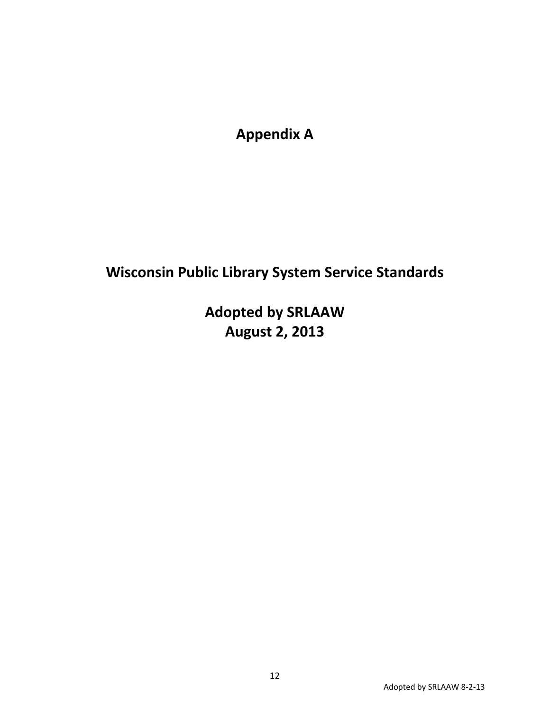**Appendix A**

# **Wisconsin Public Library System Service Standards**

**Adopted by SRLAAW August 2, 2013**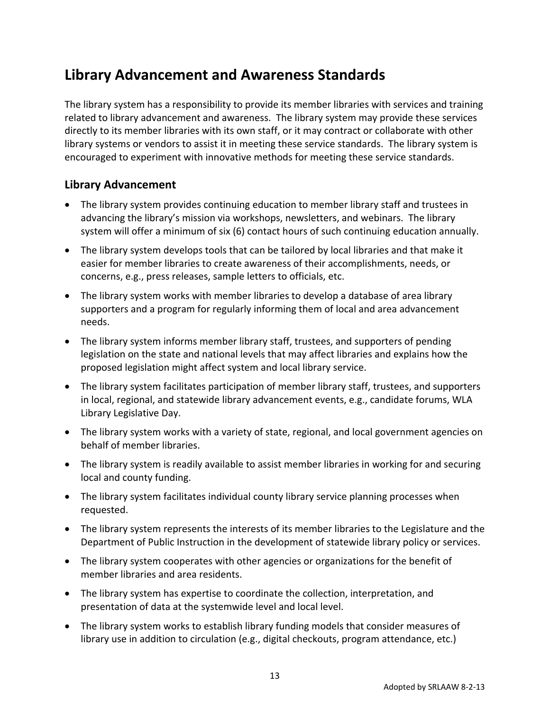# **Library Advancement and Awareness Standards**

The library system has a responsibility to provide its member libraries with services and training related to library advancement and awareness. The library system may provide these services directly to its member libraries with its own staff, or it may contract or collaborate with other library systems or vendors to assist it in meeting these service standards. The library system is encouraged to experiment with innovative methods for meeting these service standards.

### **Library Advancement**

- The library system provides continuing education to member library staff and trustees in advancing the library's mission via workshops, newsletters, and webinars. The library system will offer a minimum of six (6) contact hours of such continuing education annually.
- The library system develops tools that can be tailored by local libraries and that make it easier for member libraries to create awareness of their accomplishments, needs, or concerns, e.g., press releases, sample letters to officials, etc.
- The library system works with member libraries to develop a database of area library supporters and a program for regularly informing them of local and area advancement needs.
- The library system informs member library staff, trustees, and supporters of pending legislation on the state and national levels that may affect libraries and explains how the proposed legislation might affect system and local library service.
- The library system facilitates participation of member library staff, trustees, and supporters in local, regional, and statewide library advancement events, e.g., candidate forums, WLA Library Legislative Day.
- The library system works with a variety of state, regional, and local government agencies on behalf of member libraries.
- The library system is readily available to assist member libraries in working for and securing local and county funding.
- The library system facilitates individual county library service planning processes when requested.
- The library system represents the interests of its member libraries to the Legislature and the Department of Public Instruction in the development of statewide library policy or services.
- The library system cooperates with other agencies or organizations for the benefit of member libraries and area residents.
- The library system has expertise to coordinate the collection, interpretation, and presentation of data at the systemwide level and local level.
- The library system works to establish library funding models that consider measures of library use in addition to circulation (e.g., digital checkouts, program attendance, etc.)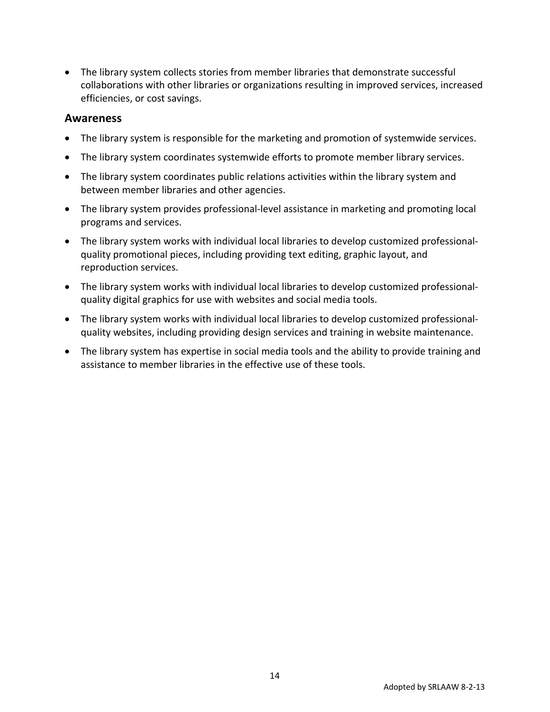The library system collects stories from member libraries that demonstrate successful collaborations with other libraries or organizations resulting in improved services, increased efficiencies, or cost savings.

#### **Awareness**

- The library system is responsible for the marketing and promotion of systemwide services.
- The library system coordinates systemwide efforts to promote member library services.
- The library system coordinates public relations activities within the library system and between member libraries and other agencies.
- The library system provides professional-level assistance in marketing and promoting local programs and services.
- The library system works with individual local libraries to develop customized professionalquality promotional pieces, including providing text editing, graphic layout, and reproduction services.
- The library system works with individual local libraries to develop customized professional‐ quality digital graphics for use with websites and social media tools.
- The library system works with individual local libraries to develop customized professionalquality websites, including providing design services and training in website maintenance.
- The library system has expertise in social media tools and the ability to provide training and assistance to member libraries in the effective use of these tools.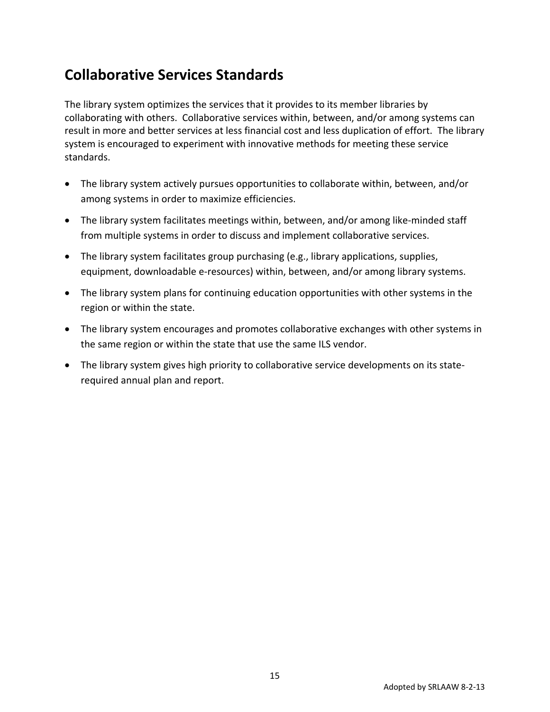# **Collaborative Services Standards**

The library system optimizes the services that it provides to its member libraries by collaborating with others. Collaborative services within, between, and/or among systems can result in more and better services at less financial cost and less duplication of effort. The library system is encouraged to experiment with innovative methods for meeting these service standards.

- The library system actively pursues opportunities to collaborate within, between, and/or among systems in order to maximize efficiencies.
- The library system facilitates meetings within, between, and/or among like‐minded staff from multiple systems in order to discuss and implement collaborative services.
- The library system facilitates group purchasing (e.g., library applications, supplies, equipment, downloadable e‐resources) within, between, and/or among library systems.
- The library system plans for continuing education opportunities with other systems in the region or within the state.
- The library system encourages and promotes collaborative exchanges with other systems in the same region or within the state that use the same ILS vendor.
- The library system gives high priority to collaborative service developments on its state‐ required annual plan and report.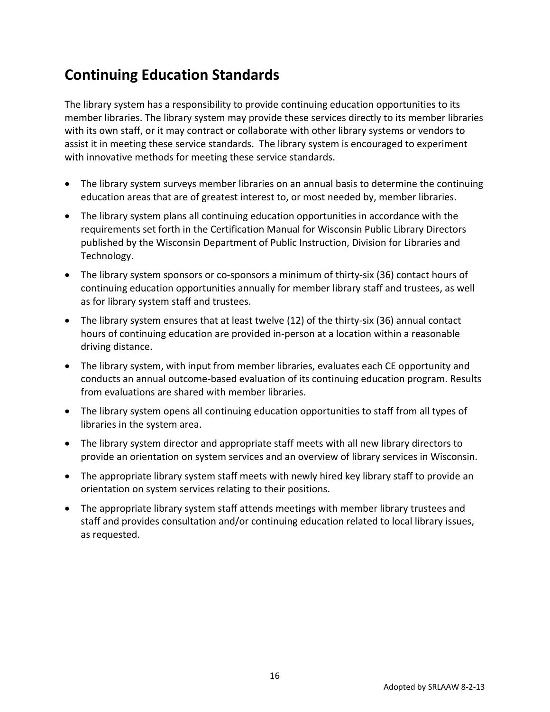# **Continuing Education Standards**

The library system has a responsibility to provide continuing education opportunities to its member libraries. The library system may provide these services directly to its member libraries with its own staff, or it may contract or collaborate with other library systems or vendors to assist it in meeting these service standards. The library system is encouraged to experiment with innovative methods for meeting these service standards.

- The library system surveys member libraries on an annual basis to determine the continuing education areas that are of greatest interest to, or most needed by, member libraries.
- The library system plans all continuing education opportunities in accordance with the requirements set forth in the Certification Manual for Wisconsin Public Library Directors published by the Wisconsin Department of Public Instruction, Division for Libraries and Technology.
- The library system sponsors or co‐sponsors a minimum of thirty‐six (36) contact hours of continuing education opportunities annually for member library staff and trustees, as well as for library system staff and trustees.
- The library system ensures that at least twelve (12) of the thirty-six (36) annual contact hours of continuing education are provided in‐person at a location within a reasonable driving distance.
- The library system, with input from member libraries, evaluates each CE opportunity and conducts an annual outcome‐based evaluation of its continuing education program. Results from evaluations are shared with member libraries.
- The library system opens all continuing education opportunities to staff from all types of libraries in the system area.
- The library system director and appropriate staff meets with all new library directors to provide an orientation on system services and an overview of library services in Wisconsin.
- The appropriate library system staff meets with newly hired key library staff to provide an orientation on system services relating to their positions.
- The appropriate library system staff attends meetings with member library trustees and staff and provides consultation and/or continuing education related to local library issues, as requested.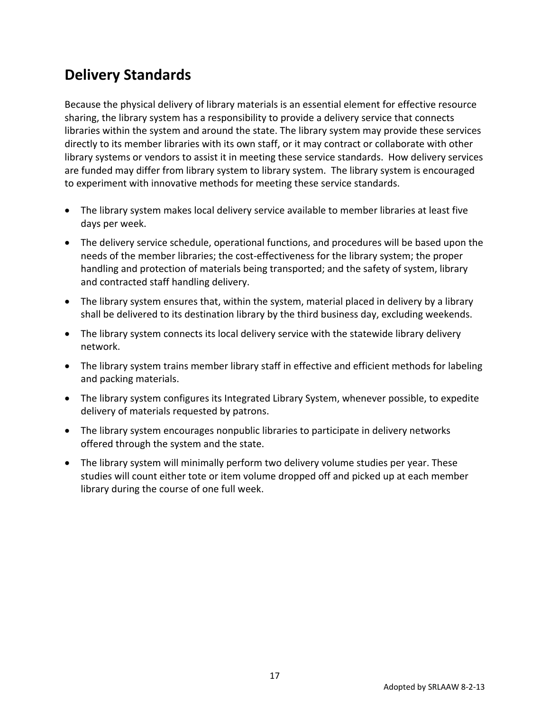# **Delivery Standards**

Because the physical delivery of library materials is an essential element for effective resource sharing, the library system has a responsibility to provide a delivery service that connects libraries within the system and around the state. The library system may provide these services directly to its member libraries with its own staff, or it may contract or collaborate with other library systems or vendors to assist it in meeting these service standards. How delivery services are funded may differ from library system to library system. The library system is encouraged to experiment with innovative methods for meeting these service standards.

- The library system makes local delivery service available to member libraries at least five days per week.
- The delivery service schedule, operational functions, and procedures will be based upon the needs of the member libraries; the cost‐effectiveness for the library system; the proper handling and protection of materials being transported; and the safety of system, library and contracted staff handling delivery.
- The library system ensures that, within the system, material placed in delivery by a library shall be delivered to its destination library by the third business day, excluding weekends.
- The library system connects its local delivery service with the statewide library delivery network.
- The library system trains member library staff in effective and efficient methods for labeling and packing materials.
- The library system configures its Integrated Library System, whenever possible, to expedite delivery of materials requested by patrons.
- The library system encourages nonpublic libraries to participate in delivery networks offered through the system and the state.
- The library system will minimally perform two delivery volume studies per year. These studies will count either tote or item volume dropped off and picked up at each member library during the course of one full week.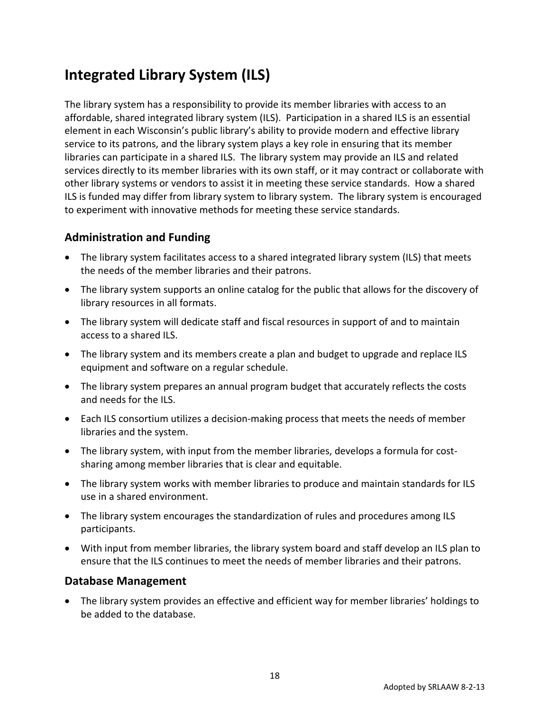# **Integrated Library System (ILS)**

The library system has a responsibility to provide its member libraries with access to an affordable, shared integrated library system (ILS). Participation in a shared ILS is an essential element in each Wisconsin's public library's ability to provide modern and effective library service to its patrons, and the library system plays a key role in ensuring that its member libraries can participate in a shared ILS. The library system may provide an ILS and related services directly to its member libraries with its own staff, or it may contract or collaborate with other library systems or vendors to assist it in meeting these service standards. How a shared ILS is funded may differ from library system to library system. The library system is encouraged to experiment with innovative methods for meeting these service standards.

### **Administration and Funding**

- The library system facilitates access to a shared integrated library system (ILS) that meets the needs of the member libraries and their patrons.
- The library system supports an online catalog for the public that allows for the discovery of library resources in all formats.
- The library system will dedicate staff and fiscal resources in support of and to maintain access to a shared ILS.
- The library system and its members create a plan and budget to upgrade and replace ILS equipment and software on a regular schedule.
- The library system prepares an annual program budget that accurately reflects the costs and needs for the ILS.
- Each ILS consortium utilizes a decision-making process that meets the needs of member libraries and the system.
- The library system, with input from the member libraries, develops a formula for costsharing among member libraries that is clear and equitable.
- The library system works with member libraries to produce and maintain standards for ILS use in a shared environment.
- The library system encourages the standardization of rules and procedures among ILS participants.
- With input from member libraries, the library system board and staff develop an ILS plan to ensure that the ILS continues to meet the needs of member libraries and their patrons.

### **Database Management**

 The library system provides an effective and efficient way for member libraries' holdings to be added to the database.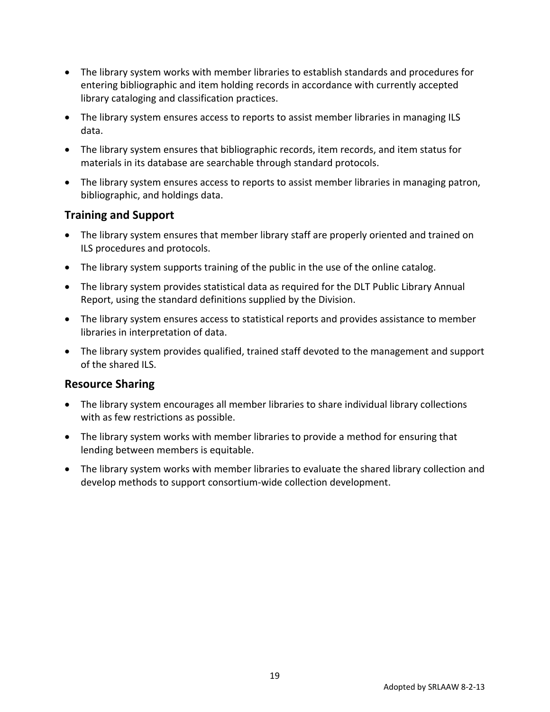- The library system works with member libraries to establish standards and procedures for entering bibliographic and item holding records in accordance with currently accepted library cataloging and classification practices.
- The library system ensures access to reports to assist member libraries in managing ILS data.
- The library system ensures that bibliographic records, item records, and item status for materials in its database are searchable through standard protocols.
- The library system ensures access to reports to assist member libraries in managing patron, bibliographic, and holdings data.

### **Training and Support**

- The library system ensures that member library staff are properly oriented and trained on ILS procedures and protocols.
- The library system supports training of the public in the use of the online catalog.
- The library system provides statistical data as required for the DLT Public Library Annual Report, using the standard definitions supplied by the Division.
- The library system ensures access to statistical reports and provides assistance to member libraries in interpretation of data.
- The library system provides qualified, trained staff devoted to the management and support of the shared ILS.

### **Resource Sharing**

- The library system encourages all member libraries to share individual library collections with as few restrictions as possible.
- The library system works with member libraries to provide a method for ensuring that lending between members is equitable.
- The library system works with member libraries to evaluate the shared library collection and develop methods to support consortium‐wide collection development.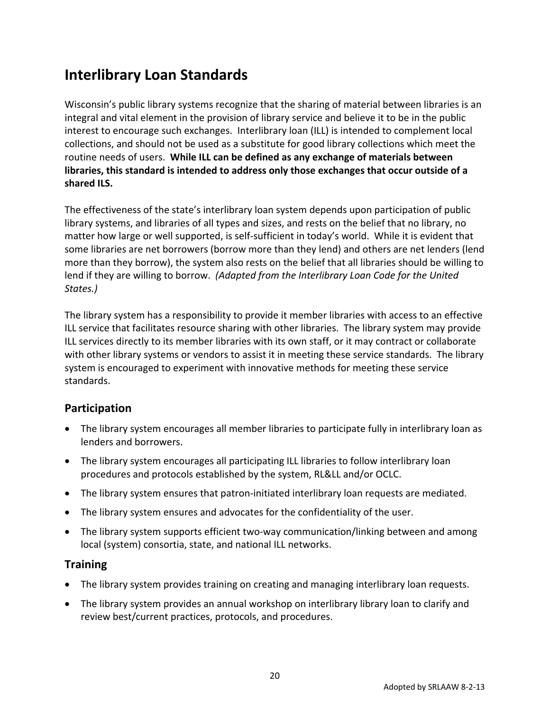# **Interlibrary Loan Standards**

Wisconsin's public library systems recognize that the sharing of material between libraries is an integral and vital element in the provision of library service and believe it to be in the public interest to encourage such exchanges. Interlibrary loan (ILL) is intended to complement local collections, and should not be used as a substitute for good library collections which meet the routine needs of users. **While ILL can be defined as any exchange of materials between libraries, this standard is intended to address only those exchanges that occur outside of a shared ILS.**

The effectiveness of the state's interlibrary loan system depends upon participation of public library systems, and libraries of all types and sizes, and rests on the belief that no library, no matter how large or well supported, is self-sufficient in today's world. While it is evident that some libraries are net borrowers (borrow more than they lend) and others are net lenders (lend more than they borrow), the system also rests on the belief that all libraries should be willing to lend if they are willing to borrow. *(Adapted from the Interlibrary Loan Code for the United States.)*

The library system has a responsibility to provide it member libraries with access to an effective ILL service that facilitates resource sharing with other libraries. The library system may provide ILL services directly to its member libraries with its own staff, or it may contract or collaborate with other library systems or vendors to assist it in meeting these service standards. The library system is encouraged to experiment with innovative methods for meeting these service standards.

### **Participation**

- The library system encourages all member libraries to participate fully in interlibrary loan as lenders and borrowers.
- The library system encourages all participating ILL libraries to follow interlibrary loan procedures and protocols established by the system, RL&LL and/or OCLC.
- The library system ensures that patron-initiated interlibrary loan requests are mediated.
- The library system ensures and advocates for the confidentiality of the user.
- The library system supports efficient two-way communication/linking between and among local (system) consortia, state, and national ILL networks.

#### **Training**

- The library system provides training on creating and managing interlibrary loan requests.
- The library system provides an annual workshop on interlibrary library loan to clarify and review best/current practices, protocols, and procedures.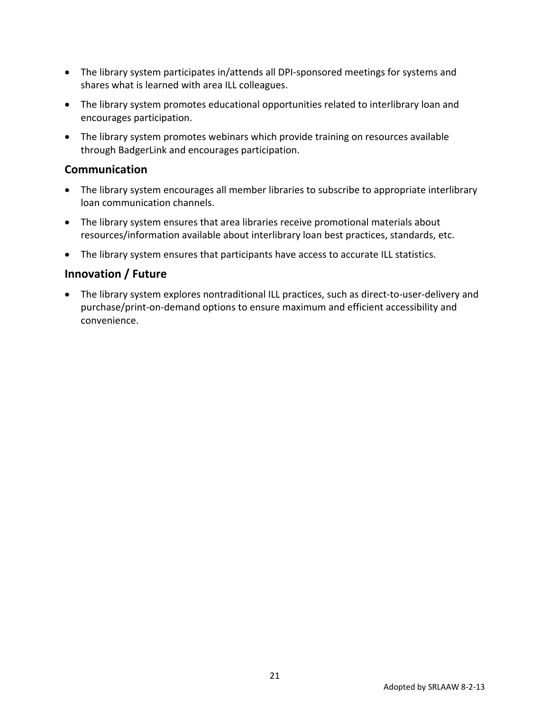- The library system participates in/attends all DPI‐sponsored meetings for systems and shares what is learned with area ILL colleagues.
- The library system promotes educational opportunities related to interlibrary loan and encourages participation.
- The library system promotes webinars which provide training on resources available through BadgerLink and encourages participation.

#### **Communication**

- The library system encourages all member libraries to subscribe to appropriate interlibrary loan communication channels.
- The library system ensures that area libraries receive promotional materials about resources/information available about interlibrary loan best practices, standards, etc.
- The library system ensures that participants have access to accurate ILL statistics.

### **Innovation / Future**

 The library system explores nontraditional ILL practices, such as direct‐to‐user‐delivery and purchase/print‐on‐demand options to ensure maximum and efficient accessibility and convenience.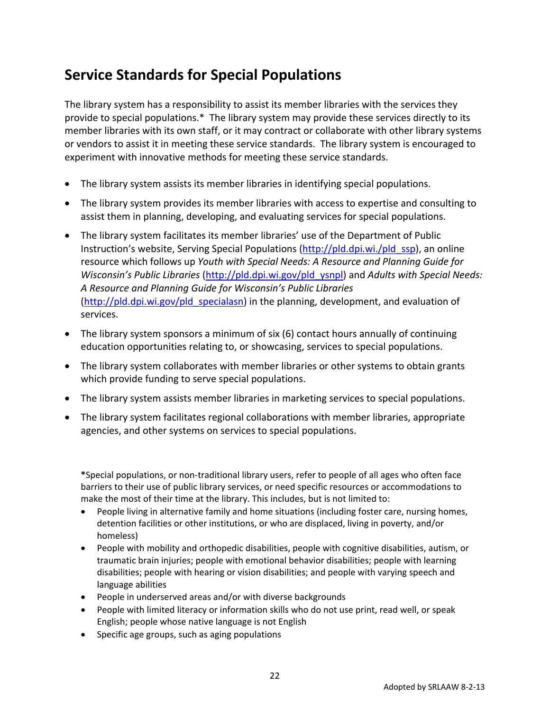# **Service Standards for Special Populations**

The library system has a responsibility to assist its member libraries with the services they provide to special populations.\* The library system may provide these services directly to its member libraries with its own staff, or it may contract or collaborate with other library systems or vendors to assist it in meeting these service standards. The library system is encouraged to experiment with innovative methods for meeting these service standards.

- The library system assists its member libraries in identifying special populations.
- The library system provides its member libraries with access to expertise and consulting to assist them in planning, developing, and evaluating services for special populations.
- The library system facilitates its member libraries' use of the Department of Public Instruction's website, Serving Special Populations (http://pld.dpi.wi./pld\_ssp), an online resource which follows up *Youth with Special Needs: A Resource and Planning Guide for Wisconsin's Public Libraries* (http://pld.dpi.wi.gov/pld\_ysnpl) and *Adults with Special Needs: A Resource and Planning Guide for Wisconsin's Public Libraries* (http://pld.dpi.wi.gov/pld\_specialasn) in the planning, development, and evaluation of services.
- The library system sponsors a minimum of six (6) contact hours annually of continuing education opportunities relating to, or showcasing, services to special populations.
- The library system collaborates with member libraries or other systems to obtain grants which provide funding to serve special populations.
- The library system assists member libraries in marketing services to special populations.
- The library system facilitates regional collaborations with member libraries, appropriate agencies, and other systems on services to special populations.

**\***Special populations, or non‐traditional library users, refer to people of all ages who often face barriers to their use of public library services, or need specific resources or accommodations to make the most of their time at the library. This includes, but is not limited to:

- People living in alternative family and home situations (including foster care, nursing homes, detention facilities or other institutions, or who are displaced, living in poverty, and/or homeless)
- People with mobility and orthopedic disabilities, people with cognitive disabilities, autism, or traumatic brain injuries; people with emotional behavior disabilities; people with learning disabilities; people with hearing or vision disabilities; and people with varying speech and language abilities
- People in underserved areas and/or with diverse backgrounds
- People with limited literacy or information skills who do not use print, read well, or speak English; people whose native language is not English
- Specific age groups, such as aging populations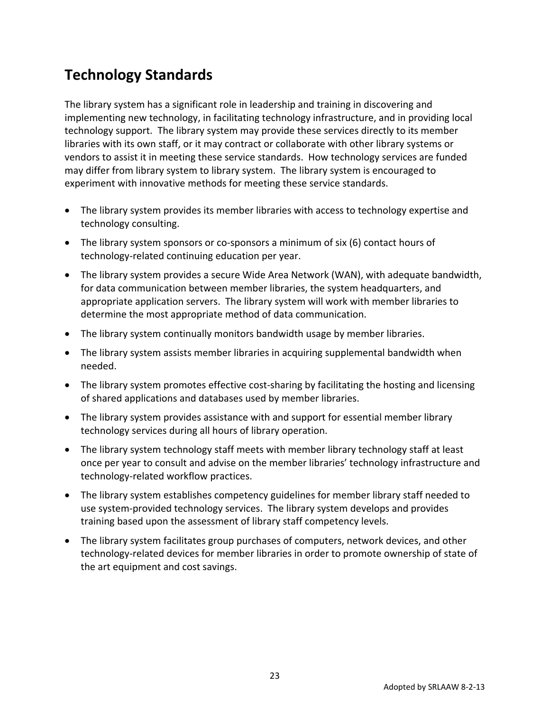# **Technology Standards**

The library system has a significant role in leadership and training in discovering and implementing new technology, in facilitating technology infrastructure, and in providing local technology support. The library system may provide these services directly to its member libraries with its own staff, or it may contract or collaborate with other library systems or vendors to assist it in meeting these service standards. How technology services are funded may differ from library system to library system. The library system is encouraged to experiment with innovative methods for meeting these service standards.

- The library system provides its member libraries with access to technology expertise and technology consulting.
- The library system sponsors or co‐sponsors a minimum of six (6) contact hours of technology‐related continuing education per year.
- The library system provides a secure Wide Area Network (WAN), with adequate bandwidth, for data communication between member libraries, the system headquarters, and appropriate application servers. The library system will work with member libraries to determine the most appropriate method of data communication.
- The library system continually monitors bandwidth usage by member libraries.
- The library system assists member libraries in acquiring supplemental bandwidth when needed.
- The library system promotes effective cost-sharing by facilitating the hosting and licensing of shared applications and databases used by member libraries.
- The library system provides assistance with and support for essential member library technology services during all hours of library operation.
- The library system technology staff meets with member library technology staff at least once per year to consult and advise on the member libraries' technology infrastructure and technology‐related workflow practices.
- The library system establishes competency guidelines for member library staff needed to use system‐provided technology services. The library system develops and provides training based upon the assessment of library staff competency levels.
- The library system facilitates group purchases of computers, network devices, and other technology‐related devices for member libraries in order to promote ownership of state of the art equipment and cost savings.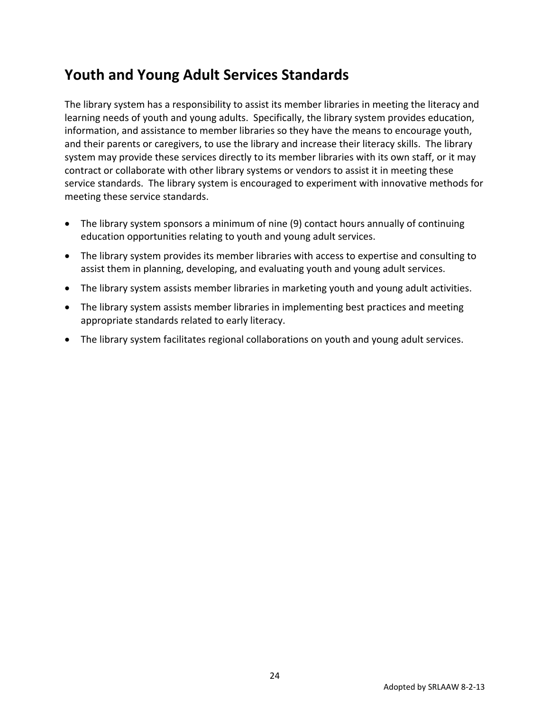# **Youth and Young Adult Services Standards**

The library system has a responsibility to assist its member libraries in meeting the literacy and learning needs of youth and young adults. Specifically, the library system provides education, information, and assistance to member libraries so they have the means to encourage youth, and their parents or caregivers, to use the library and increase their literacy skills. The library system may provide these services directly to its member libraries with its own staff, or it may contract or collaborate with other library systems or vendors to assist it in meeting these service standards. The library system is encouraged to experiment with innovative methods for meeting these service standards.

- The library system sponsors a minimum of nine (9) contact hours annually of continuing education opportunities relating to youth and young adult services.
- The library system provides its member libraries with access to expertise and consulting to assist them in planning, developing, and evaluating youth and young adult services.
- The library system assists member libraries in marketing youth and young adult activities.
- The library system assists member libraries in implementing best practices and meeting appropriate standards related to early literacy.
- The library system facilitates regional collaborations on youth and young adult services.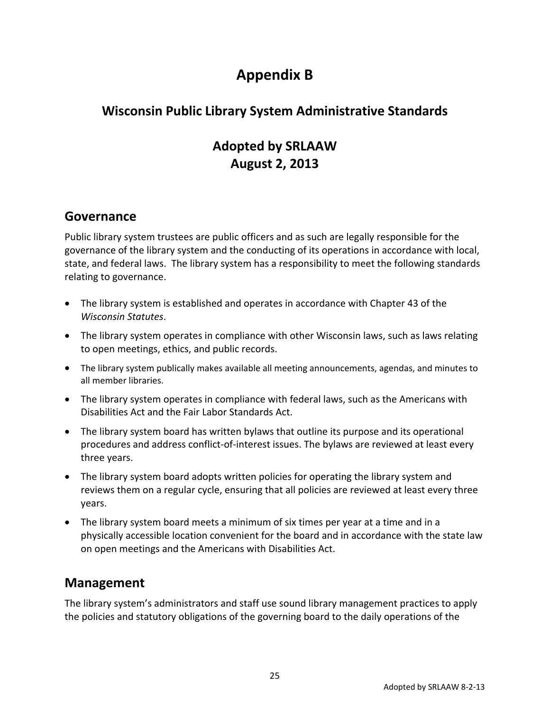# **Appendix B**

### **Wisconsin Public Library System Administrative Standards**

## **Adopted by SRLAAW August 2, 2013**

### **Governance**

Public library system trustees are public officers and as such are legally responsible for the governance of the library system and the conducting of its operations in accordance with local, state, and federal laws. The library system has a responsibility to meet the following standards relating to governance.

- The library system is established and operates in accordance with Chapter 43 of the *Wisconsin Statutes*.
- The library system operates in compliance with other Wisconsin laws, such as laws relating to open meetings, ethics, and public records.
- The library system publically makes available all meeting announcements, agendas, and minutes to all member libraries.
- The library system operates in compliance with federal laws, such as the Americans with Disabilities Act and the Fair Labor Standards Act.
- The library system board has written bylaws that outline its purpose and its operational procedures and address conflict‐of‐interest issues. The bylaws are reviewed at least every three years.
- The library system board adopts written policies for operating the library system and reviews them on a regular cycle, ensuring that all policies are reviewed at least every three years.
- The library system board meets a minimum of six times per year at a time and in a physically accessible location convenient for the board and in accordance with the state law on open meetings and the Americans with Disabilities Act.

### **Management**

The library system's administrators and staff use sound library management practices to apply the policies and statutory obligations of the governing board to the daily operations of the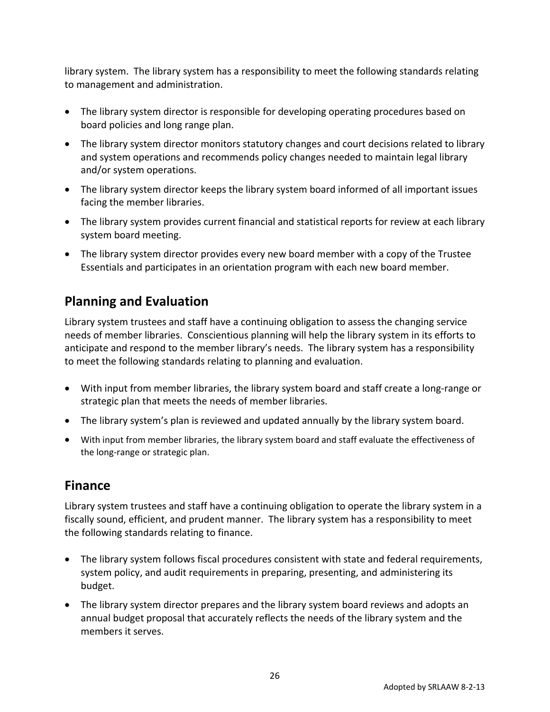library system. The library system has a responsibility to meet the following standards relating to management and administration.

- The library system director is responsible for developing operating procedures based on board policies and long range plan.
- The library system director monitors statutory changes and court decisions related to library and system operations and recommends policy changes needed to maintain legal library and/or system operations.
- The library system director keeps the library system board informed of all important issues facing the member libraries.
- The library system provides current financial and statistical reports for review at each library system board meeting.
- The library system director provides every new board member with a copy of the Trustee Essentials and participates in an orientation program with each new board member.

## **Planning and Evaluation**

Library system trustees and staff have a continuing obligation to assess the changing service needs of member libraries. Conscientious planning will help the library system in its efforts to anticipate and respond to the member library's needs. The library system has a responsibility to meet the following standards relating to planning and evaluation.

- With input from member libraries, the library system board and staff create a long-range or strategic plan that meets the needs of member libraries.
- The library system's plan is reviewed and updated annually by the library system board.
- With input from member libraries, the library system board and staff evaluate the effectiveness of the long‐range or strategic plan.

### **Finance**

Library system trustees and staff have a continuing obligation to operate the library system in a fiscally sound, efficient, and prudent manner. The library system has a responsibility to meet the following standards relating to finance.

- The library system follows fiscal procedures consistent with state and federal requirements, system policy, and audit requirements in preparing, presenting, and administering its budget.
- The library system director prepares and the library system board reviews and adopts an annual budget proposal that accurately reflects the needs of the library system and the members it serves.